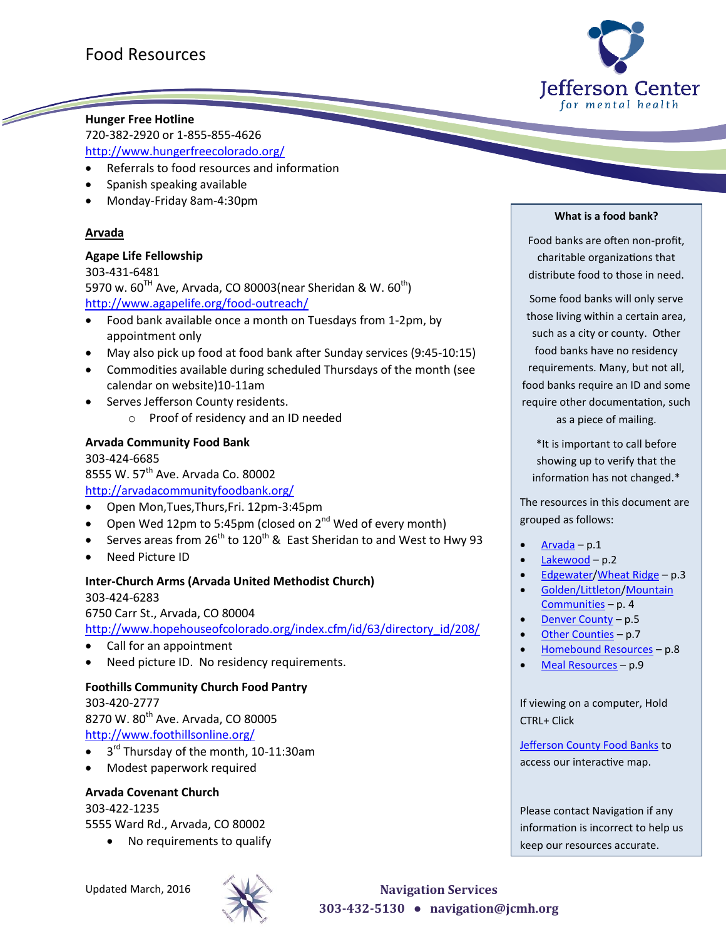

### **Hunger Free Hotline**

720-382-2920 or 1-855-855-4626 <http://www.hungerfreecolorado.org/>

- Referrals to food resources and information
- Spanish speaking available
- Monday-Friday 8am-4:30pm

#### <span id="page-0-0"></span>**Arvada**

<u>Single Strong Congress of the Congress of the Congress of the Congress of the Congress of the Congress of the Congress of the Congress of the Congress of the Congress of the Congress of the Congress of the Congress of the</u>

#### **Agape Life Fellowship**

303-431-6481 5970 w.  $60^{TH}$  Ave, Arvada, CO 80003(near Sheridan & W.  $60^{th}$ ) <http://www.agapelife.org/food-outreach/>

- Food bank available once a month on Tuesdays from 1-2pm, by appointment only
- May also pick up food at food bank after Sunday services (9:45-10:15)
- Commodities available during scheduled Thursdays of the month (see calendar on website)10-11am
- Serves Jefferson County residents.
	- o Proof of residency and an ID needed

#### **Arvada Community Food Bank**

303-424-6685 8555 W. 57<sup>th</sup> Ave. Arvada Co. 80002 <http://arvadacommunityfoodbank.org/>

- Open Mon,Tues,Thurs,Fri. 12pm-3:45pm
- Open Wed 12pm to 5:45pm (closed on  $2^{nd}$  Wed of every month)
- Serves areas from  $26^{th}$  to  $120^{th}$  & East Sheridan to and West to Hwy 93
- Need Picture ID

#### **Inter-Church Arms (Arvada United Methodist Church)**

303-424-6283 6750 Carr St., Arvada, CO 80004 [http://www.hopehouseofcolorado.org/index.cfm/id/63/directory\\_id/208/](http://www.hopehouseofcolorado.org/index.cfm/id/63/directory_id/208/)

- Call for an appointment
- Need picture ID. No residency requirements.

#### **Foothills Community Church Food Pantry**

303-420-2777

8270 W. 80<sup>th</sup> Ave. Arvada, CO 80005 <http://www.foothillsonline.org/>

- $\bullet$  3<sup>rd</sup> Thursday of the month, 10-11:30am
- Modest paperwork required

### **Arvada Covenant Church**

303-422-1235 5555 Ward Rd., Arvada, CO 80002

No requirements to qualify

#### **What is a food bank?**

Food banks are often non-profit, charitable organizations that distribute food to those in need.

Some food banks will only serve those living within a certain area, such as a city or county. Other food banks have no residency requirements. Many, but not all, food banks require an ID and some require other documentation, such as a piece of mailing.

\*It is important to call before showing up to verify that the information has not changed.\*

The resources in this document are grouped as follows:

- [Arvada](#page-0-0) p.1
- [Lakewood](#page-1-0) p.2
- [Edgewater](#page-2-0)[/Wheat Ridge](#page-2-1) p.3
- [Golden/Littleton](#page-3-0)/Mountain [Communities](#page-3-1) – p. 4
- [Denver County](#page-4-0) p.5
- [Other Counties](#page-7-0) p.7
- [Homebound Resources](#page-7-1) p.8
- [Meal Resources](#page-8-0) p.9

If viewing on a computer, Hold CTRL+ Click

[Jefferson County Food Banks](http://maps.google.com/maps/ms?vps=2&ie=UTF8&hl=en&oe=UTF8&msa=0&msid=211680620244205536235.0004aae250e7958b78b2a) to access our interactive map.

Please contact Navigation if any information is incorrect to help us keep our resources accurate.

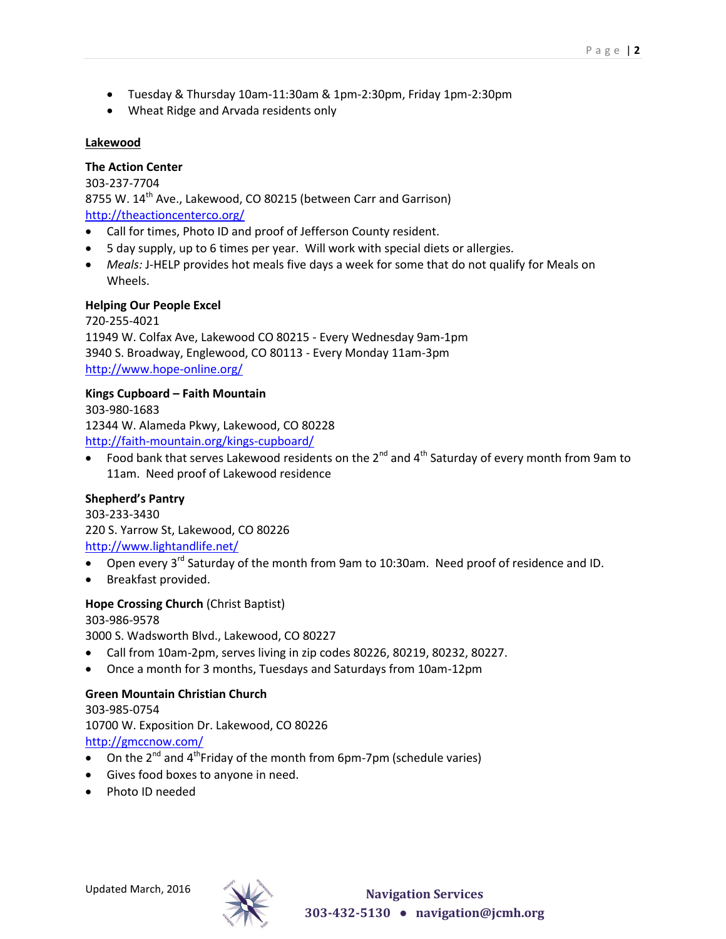- Tuesday & Thursday 10am-11:30am & 1pm-2:30pm, Friday 1pm-2:30pm
- Wheat Ridge and Arvada residents only

#### <span id="page-1-0"></span>**Lakewood**

#### **The Action Center**

303-237-7704 8755 W. 14<sup>th</sup> Ave., Lakewood, CO 80215 (between Carr and Garrison) <http://theactioncenterco.org/>

- Call for times, Photo ID and proof of Jefferson County resident.
- 5 day supply, up to 6 times per year. Will work with special diets or allergies.
- *Meals:* J-HELP provides hot meals five days a week for some that do not qualify for Meals on Wheels.

#### **Helping Our People Excel**

720-255-4021 11949 W. Colfax Ave, Lakewood CO 80215 - Every Wednesday 9am-1pm 3940 S. Broadway, Englewood, CO 80113 - Every Monday 11am-3pm <http://www.hope-online.org/>

#### **Kings Cupboard – Faith Mountain**

303-980-1683 12344 W. Alameda Pkwy, Lakewood, CO 80228 <http://faith-mountain.org/kings-cupboard/>

Food bank that serves Lakewood residents on the  $2^{nd}$  and  $4^{th}$  Saturday of every month from 9am to 11am. Need proof of Lakewood residence

#### **Shepherd's Pantry**

303-233-3430 220 S. Yarrow St, Lakewood, CO 80226 <http://www.lightandlife.net/>

- Open every  $3^{rd}$  Saturday of the month from 9am to 10:30am. Need proof of residence and ID.
- Breakfast provided.

#### **Hope Crossing Church** (Christ Baptist)

#### 303-986-9578

3000 S. Wadsworth Blvd., Lakewood, CO 80227

- Call from 10am-2pm, serves living in zip codes 80226, 80219, 80232, 80227.
- Once a month for 3 months, Tuesdays and Saturdays from 10am-12pm

#### **Green Mountain Christian Church**

303-985-0754 10700 W. Exposition Dr. Lakewood, CO 80226 <http://gmccnow.com/>

- On the  $2^{nd}$  and  $4^{th}$ Friday of the month from 6pm-7pm (schedule varies)
- Gives food boxes to anyone in need.
- Photo ID needed

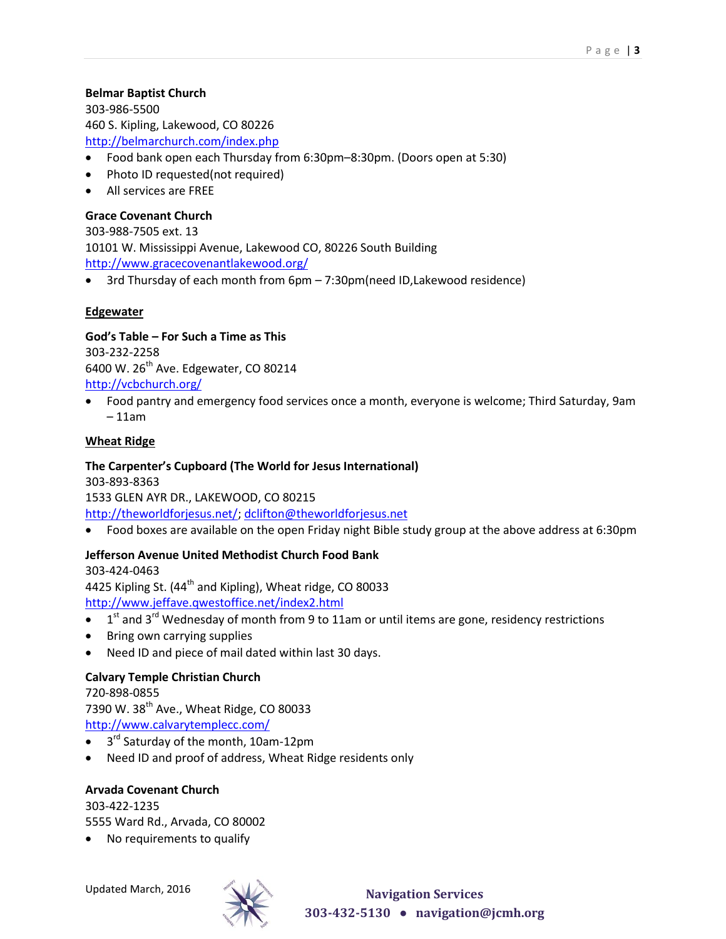### **Belmar Baptist Church**

303-986-5500 460 S. Kipling, Lakewood, CO 80226 <http://belmarchurch.com/index.php>

- Food bank open each Thursday from 6:30pm–8:30pm. (Doors open at 5:30)
- Photo ID requested(not required)
- All services are FREE

### **Grace Covenant Church**

303-988-7505 ext. 13 10101 W. Mississippi Avenue, Lakewood CO, 80226 South Building <http://www.gracecovenantlakewood.org/>

3rd Thursday of each month from 6pm – 7:30pm(need ID,Lakewood residence)

#### <span id="page-2-0"></span>**Edgewater**

**God's Table – For Such a Time as This** 303-232-2258 6400 W.  $26<sup>th</sup>$  Ave. Edgewater, CO 80214 <http://vcbchurch.org/>

 Food pantry and emergency food services once a month, everyone is welcome; Third Saturday, 9am – 11am

#### <span id="page-2-1"></span>**Wheat Ridge**

#### **The Carpenter's Cupboard (The World for Jesus International)** 303-893-8363

1533 GLEN AYR DR., LAKEWOOD, CO 80215 [http://theworldforjesus.net/;](http://theworldforjesus.net/) [dclifton@theworldforjesus.net](mailto:dclifton@theworldforjesus.net)

Food boxes are available on the open Friday night Bible study group at the above address at 6:30pm

#### **Jefferson Avenue United Methodist Church Food Bank**

303-424-0463 4425 Kipling St. (44<sup>th</sup> and Kipling), Wheat ridge, CO 80033 <http://www.jeffave.qwestoffice.net/index2.html>

- $\bullet$  1<sup>st</sup> and 3<sup>rd</sup> Wednesday of month from 9 to 11am or until items are gone, residency restrictions
- Bring own carrying supplies
- Need ID and piece of mail dated within last 30 days.

#### **Calvary Temple Christian Church**

720-898-0855 7390 W. 38<sup>th</sup> Ave., Wheat Ridge, CO 80033 <http://www.calvarytemplecc.com/>

- 3<sup>rd</sup> Saturday of the month, 10am-12pm
- Need ID and proof of address, Wheat Ridge residents only

#### **Arvada Covenant Church**

303-422-1235 5555 Ward Rd., Arvada, CO 80002

• No requirements to qualify

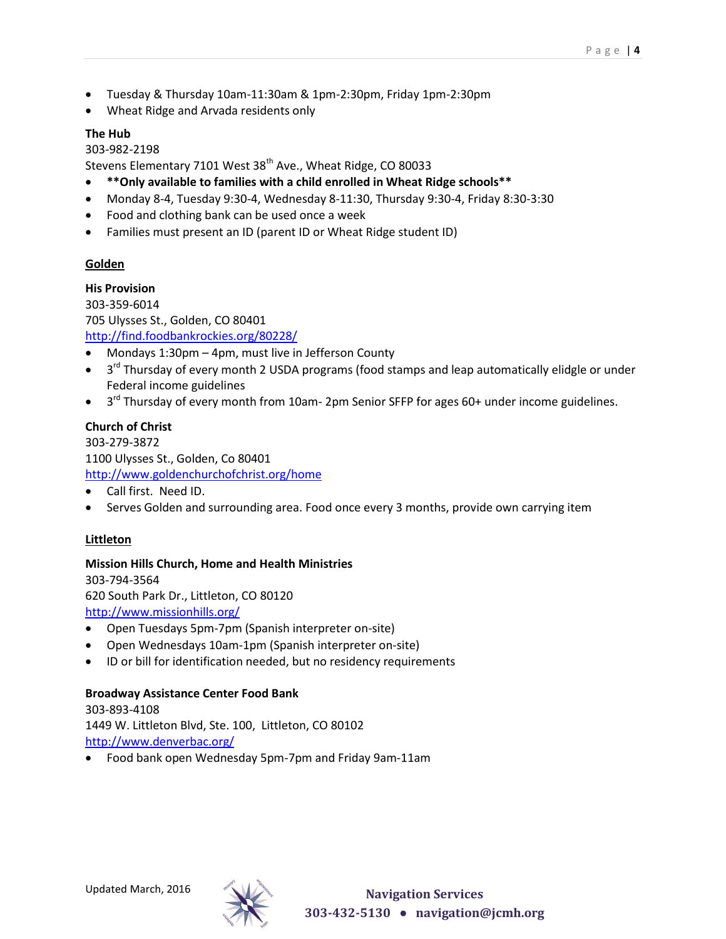- Tuesday & Thursday 10am-11:30am & 1pm-2:30pm, Friday 1pm-2:30pm
- Wheat Ridge and Arvada residents only

### **The Hub**

#### 303-982-2198

Stevens Elementary 7101 West 38<sup>th</sup> Ave., Wheat Ridge, CO 80033

- **\*\*Only available to families with a child enrolled in Wheat Ridge schools\*\***
- Monday 8-4, Tuesday 9:30-4, Wednesday 8-11:30, Thursday 9:30-4, Friday 8:30-3:30
- Food and clothing bank can be used once a week
- Families must present an ID (parent ID or Wheat Ridge student ID)

### <span id="page-3-0"></span>**Golden**

#### **His Provision**

303-359-6014 705 Ulysses St., Golden, CO 80401 <http://find.foodbankrockies.org/80228/>

- Mondays 1:30pm 4pm, must live in Jefferson County
- $\bullet$  3<sup>rd</sup> Thursday of every month 2 USDA programs (food stamps and leap automatically elidgle or under Federal income guidelines
- $\bullet$  3<sup>rd</sup> Thursday of every month from 10am- 2pm Senior SFFP for ages 60+ under income guidelines.

### **Church of Christ**

303-279-3872 1100 Ulysses St., Golden, Co 80401 <http://www.goldenchurchofchrist.org/home>

- Call first. Need ID.
- Serves Golden and surrounding area. Food once every 3 months, provide own carrying item

### **Littleton**

#### **Mission Hills Church, Home and Health Ministries**

303-794-3564 620 South Park Dr., Littleton, CO 80120 <http://www.missionhills.org/>

- Open Tuesdays 5pm-7pm (Spanish interpreter on-site)
- Open Wednesdays 10am-1pm (Spanish interpreter on-site)
- ID or bill for identification needed, but no residency requirements

#### **Broadway Assistance Center Food Bank**

303-893-4108 1449 W. Littleton Blvd, Ste. 100, Littleton, CO 80102 <http://www.denverbac.org/>

<span id="page-3-1"></span>Food bank open Wednesday 5pm-7pm and Friday 9am-11am

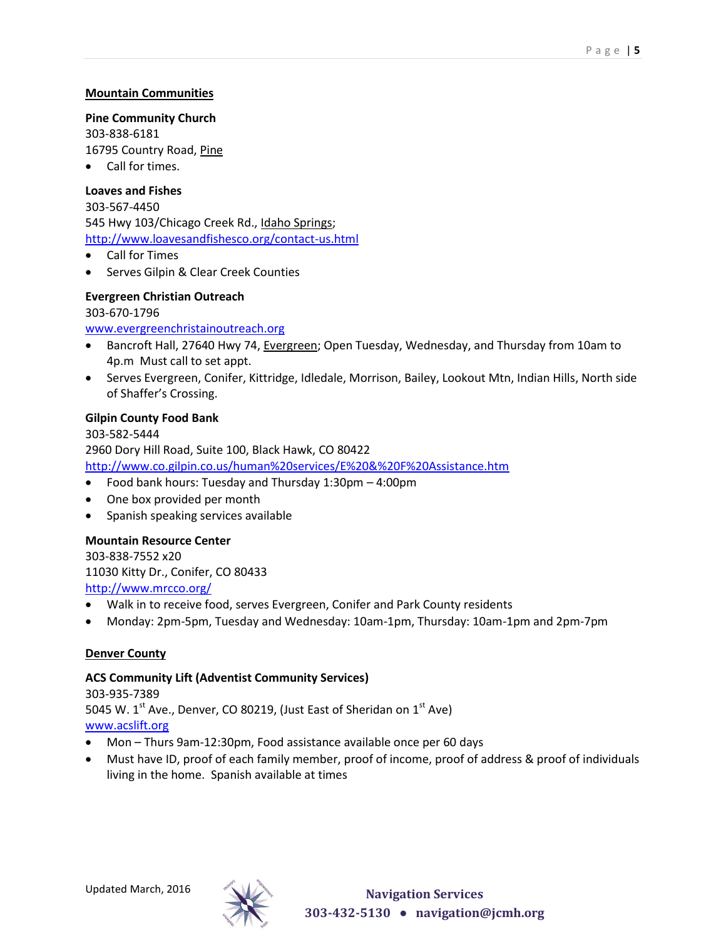#### **Mountain Communities**

**Pine Community Church**

303-838-6181 16795 Country Road, Pine

Call for times.

#### **Loaves and Fishes**

303-567-4450 545 Hwy 103/Chicago Creek Rd., Idaho Springs; <http://www.loavesandfishesco.org/contact-us.html>

- Call for Times
- Serves Gilpin & Clear Creek Counties

# **Evergreen Christian Outreach** 303-670-1796

#### [www.evergreenchristainoutreach.org](http://www.evergreenchristainoutreach.org/)

- Bancroft Hall, 27640 Hwy 74, Evergreen; Open Tuesday, Wednesday, and Thursday from 10am to 4p.m Must call to set appt.
- Serves Evergreen, Conifer, Kittridge, Idledale, Morrison, Bailey, Lookout Mtn, Indian Hills, North side of Shaffer's Crossing.

#### **Gilpin County Food Bank**

303-582-5444 2960 Dory Hill Road, Suite 100, Black Hawk, CO 80422 <http://www.co.gilpin.co.us/human%20services/E%20&%20F%20Assistance.htm>

- Food bank hours: Tuesday and Thursday 1:30pm 4:00pm
- One box provided per month
- Spanish speaking services available

#### **Mountain Resource Center**

303-838-7552 x20 11030 Kitty Dr., Conifer, CO 80433 <http://www.mrcco.org/>

- Walk in to receive food, serves Evergreen, Conifer and Park County residents
- Monday: 2pm-5pm, Tuesday and Wednesday: 10am-1pm, Thursday: 10am-1pm and 2pm-7pm

#### <span id="page-4-0"></span>**Denver County**

#### **ACS Community Lift (Adventist Community Services)**

303-935-7389 5045 W.  $1^{\text{st}}$  Ave., Denver, CO 80219, (Just East of Sheridan on  $1^{\text{st}}$  Ave) [www.acslift.org](http://www.acslift.org/)

- Mon Thurs 9am-12:30pm, Food assistance available once per 60 days
- Must have ID, proof of each family member, proof of income, proof of address & proof of individuals living in the home. Spanish available at times

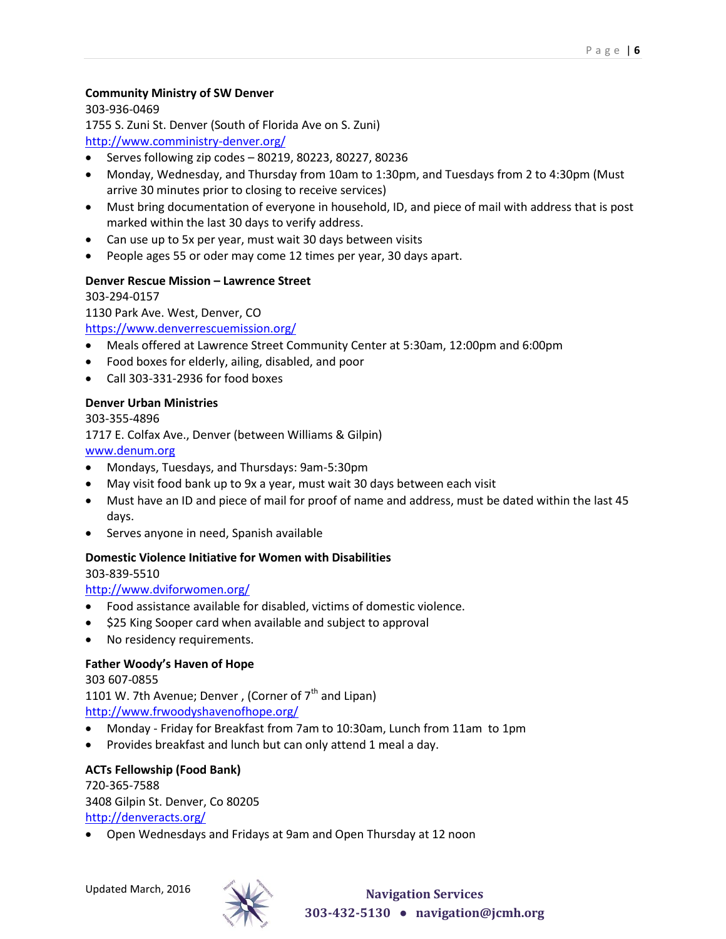### **Community Ministry of SW Denver**

303-936-0469

1755 S. Zuni St. Denver (South of Florida Ave on S. Zuni)

<http://www.comministry-denver.org/>

- Serves following zip codes 80219, 80223, 80227, 80236
- Monday, Wednesday, and Thursday from 10am to 1:30pm, and Tuesdays from 2 to 4:30pm (Must arrive 30 minutes prior to closing to receive services)
- Must bring documentation of everyone in household, ID, and piece of mail with address that is post marked within the last 30 days to verify address.
- Can use up to 5x per year, must wait 30 days between visits
- People ages 55 or oder may come 12 times per year, 30 days apart.

### **Denver Rescue Mission – Lawrence Street**

303-294-0157

1130 Park Ave. West, Denver, CO

<https://www.denverrescuemission.org/>

- Meals offered at Lawrence Street Community Center at 5:30am, 12:00pm and 6:00pm
- Food boxes for elderly, ailing, disabled, and poor
- Call 303-331-2936 for food boxes

#### **Denver Urban Ministries**

303-355-4896 1717 E. Colfax Ave., Denver (between Williams & Gilpin) [www.denum.org](http://www.denum.org/)

- Mondays, Tuesdays, and Thursdays: 9am-5:30pm
- May visit food bank up to 9x a year, must wait 30 days between each visit
- Must have an ID and piece of mail for proof of name and address, must be dated within the last 45 days.
- Serves anyone in need, Spanish available

### **Domestic Violence Initiative for Women with Disabilities**

303-839-5510

### <http://www.dviforwomen.org/>

- Food assistance available for disabled, victims of domestic violence.
- \$25 King Sooper card when available and subject to approval
- No residency requirements.

### **Father Woody's Haven of Hope**

303 607-0855 1101 W. 7th Avenue; Denver, (Corner of  $7<sup>th</sup>$  and Lipan) <http://www.frwoodyshavenofhope.org/>

- Monday Friday for Breakfast from 7am to 10:30am, Lunch from 11am to 1pm
- Provides breakfast and lunch but can only attend 1 meal a day.

### **ACTs Fellowship (Food Bank)**

720-365-7588 3408 Gilpin St. Denver, Co 80205 <http://denveracts.org/>

Open Wednesdays and Fridays at 9am and Open Thursday at 12 noon

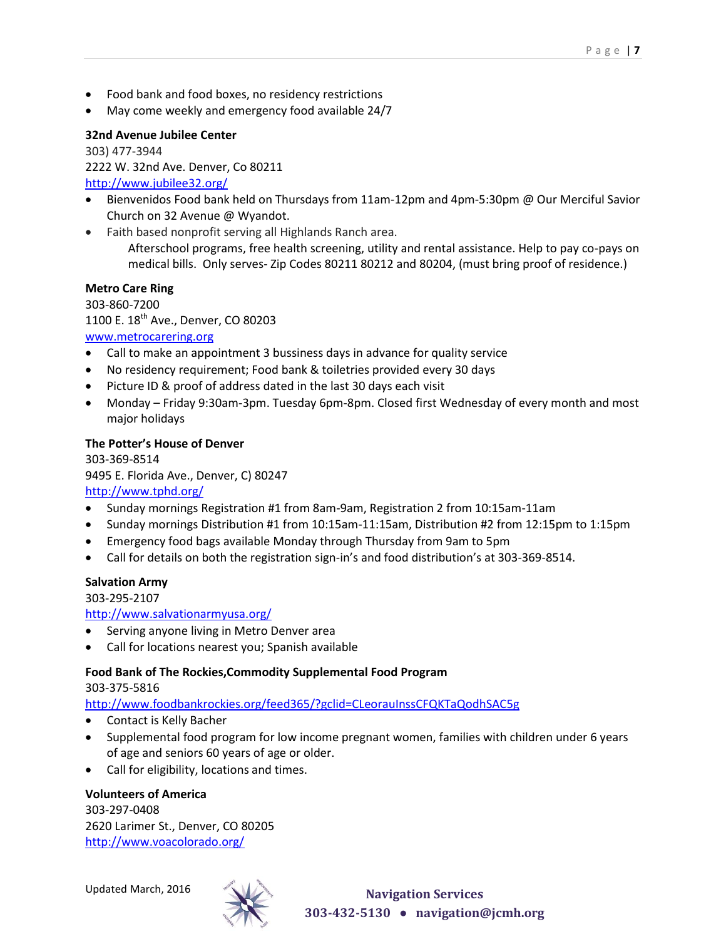- Food bank and food boxes, no residency restrictions
- May come weekly and emergency food available 24/7

#### **32nd Avenue Jubilee Center**

303) 477-3944 2222 W. 32nd Ave. Denver, Co 80211 <http://www.jubilee32.org/>

- Bienvenidos Food bank held on Thursdays from 11am-12pm and 4pm-5:30pm @ Our Merciful Savior Church on 32 Avenue @ Wyandot.
- Faith based nonprofit serving all Highlands Ranch area.

Afterschool programs, free health screening, utility and rental assistance. Help to pay co-pays on medical bills. Only serves- Zip Codes 80211 80212 and 80204, (must bring proof of residence.)

#### **Metro Care Ring**

303-860-7200 1100 E. 18<sup>th</sup> Ave., Denver, CO 80203 [www.metrocarering.org](http://www.metrocarering.org/)

- Call to make an appointment 3 bussiness days in advance for quality service
- No residency requirement; Food bank & toiletries provided every 30 days
- Picture ID & proof of address dated in the last 30 days each visit
- Monday Friday 9:30am-3pm. Tuesday 6pm-8pm. Closed first Wednesday of every month and most major holidays

#### **The Potter's House of Denver**

303-369-8514 9495 E. Florida Ave., Denver, C) 80247 <http://www.tphd.org/>

- Sunday mornings Registration #1 from 8am-9am, Registration 2 from 10:15am-11am
- Sunday mornings Distribution #1 from 10:15am-11:15am, Distribution #2 from 12:15pm to 1:15pm
- Emergency food bags available Monday through Thursday from 9am to 5pm
- Call for details on both the registration sign-in's and food distribution's at 303-369-8514.

#### **Salvation Army**

303-295-2107

<http://www.salvationarmyusa.org/>

- Serving anyone living in Metro Denver area
- Call for locations nearest you; Spanish available

#### **Food Bank of The Rockies,Commodity Supplemental Food Program**

#### 303-375-5816

<http://www.foodbankrockies.org/feed365/?gclid=CLeorauInssCFQKTaQodhSAC5g>

- Contact is Kelly Bacher
- Supplemental food program for low income pregnant women, families with children under 6 years of age and seniors 60 years of age or older.
- Call for eligibility, locations and times.

#### **Volunteers of America**

303-297-0408 2620 Larimer St., Denver, CO 80205 <http://www.voacolorado.org/>



Updated March, 2016 **Navigation Services 303-432-5130 ● navigation@jcmh.org**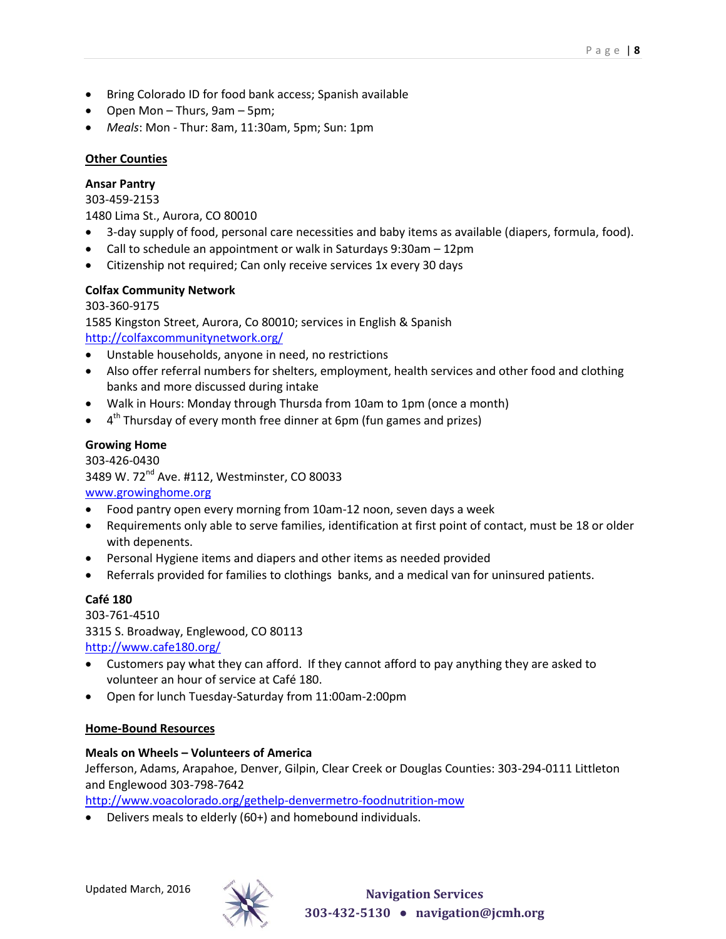- Bring Colorado ID for food bank access; Spanish available
- Open Mon Thurs, 9am 5pm;
- *Meals*: Mon Thur: 8am, 11:30am, 5pm; Sun: 1pm

### <span id="page-7-0"></span>**Other Counties**

### **Ansar Pantry**

303-459-2153

1480 Lima St., Aurora, CO 80010

- 3-day supply of food, personal care necessities and baby items as available (diapers, formula, food).
- Call to schedule an appointment or walk in Saturdays 9:30am 12pm
- Citizenship not required; Can only receive services 1x every 30 days

### **Colfax Community Network**

### 303-360-9175

1585 Kingston Street, Aurora, Co 80010; services in English & Spanish <http://colfaxcommunitynetwork.org/>

- Unstable households, anyone in need, no restrictions
- Also offer referral numbers for shelters, employment, health services and other food and clothing banks and more discussed during intake
- Walk in Hours: Monday through Thursda from 10am to 1pm (once a month)
- $\bullet$  4<sup>th</sup> Thursday of every month free dinner at 6pm (fun games and prizes)

## **Growing Home**

303-426-0430 3489 W. 72<sup>nd</sup> Ave. #112, Westminster, CO 80033 [www.growinghome.org](http://www.growinghome.org/)

- Food pantry open every morning from 10am-12 noon, seven days a week
- Requirements only able to serve families, identification at first point of contact, must be 18 or older with depenents.
- Personal Hygiene items and diapers and other items as needed provided
- Referrals provided for families to clothings banks, and a medical van for uninsured patients.

## **Café 180**

303-761-4510 3315 S. Broadway, Englewood, CO 80113 <http://www.cafe180.org/>

- Customers pay what they can afford. If they cannot afford to pay anything they are asked to volunteer an hour of service at Café 180.
- Open for lunch Tuesday-Saturday from 11:00am-2:00pm

### <span id="page-7-1"></span>**Home-Bound Resources**

### **Meals on Wheels – Volunteers of America**

Jefferson, Adams, Arapahoe, Denver, Gilpin, Clear Creek or Douglas Counties: 303-294-0111 Littleton and Englewood 303-798-7642

<http://www.voacolorado.org/gethelp-denvermetro-foodnutrition-mow>

Delivers meals to elderly (60+) and homebound individuals.

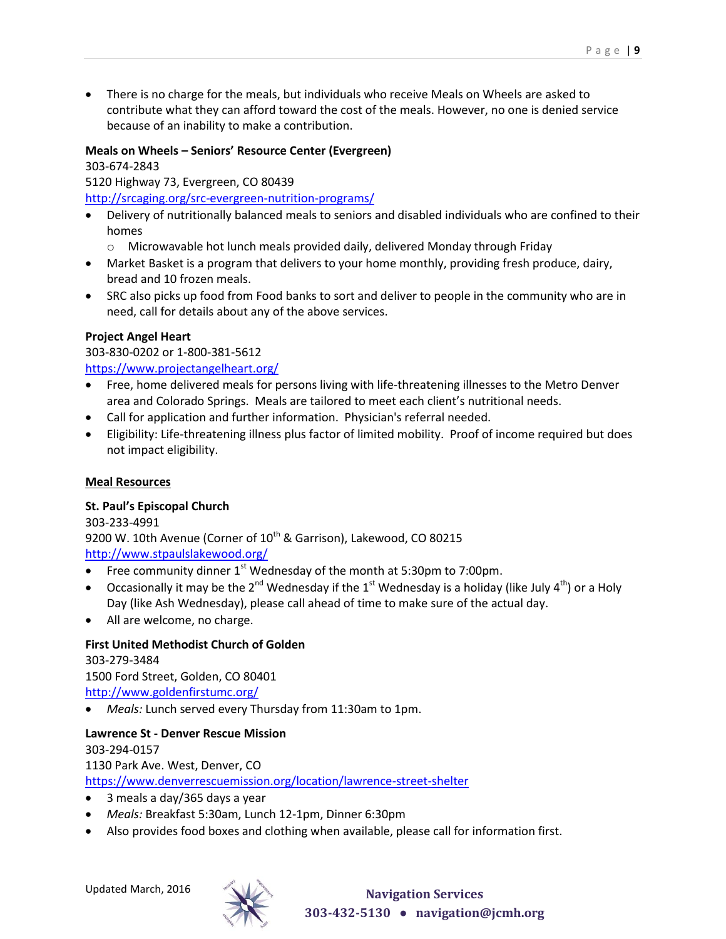There is no charge for the meals, but individuals who receive Meals on Wheels are asked to contribute what they can afford toward the cost of the meals. However, no one is denied service because of an inability to make a contribution.

### **Meals on Wheels – Seniors' Resource Center (Evergreen)**

303-674-2843

5120 Highway 73, Evergreen, CO 80439

<http://srcaging.org/src-evergreen-nutrition-programs/>

- Delivery of nutritionally balanced meals to seniors and disabled individuals who are confined to their homes
	- o Microwavable hot lunch meals provided daily, delivered Monday through Friday
- Market Basket is a program that delivers to your home monthly, providing fresh produce, dairy, bread and 10 frozen meals.
- SRC also picks up food from Food banks to sort and deliver to people in the community who are in need, call for details about any of the above services.

#### **Project Angel Heart**

303-830-0202 or 1-800-381-5612 <https://www.projectangelheart.org/>

- Free, home delivered meals for persons living with life-threatening illnesses to the Metro Denver area and Colorado Springs. Meals are tailored to meet each client's nutritional needs.
- Call for application and further information. Physician's referral needed.
- Eligibility: Life-threatening illness plus factor of limited mobility. Proof of income required but does not impact eligibility.

#### <span id="page-8-0"></span>**Meal Resources**

#### **St. Paul's Episcopal Church**

303-233-4991 9200 W. 10th Avenue (Corner of 10<sup>th</sup> & Garrison), Lakewood, CO 80215 <http://www.stpaulslakewood.org/>

- Free community dinner  $1<sup>st</sup>$  Wednesday of the month at 5:30pm to 7:00pm.
- **•** Occasionally it may be the 2<sup>nd</sup> Wednesday if the 1<sup>st</sup> Wednesday is a holiday (like July 4<sup>th</sup>) or a Holy Day (like Ash Wednesday), please call ahead of time to make sure of the actual day.
- All are welcome, no charge.

### **First United Methodist Church of Golden**

303-279-3484

1500 Ford Street, Golden, CO 80401

- <http://www.goldenfirstumc.org/>
- *Meals:* Lunch served every Thursday from 11:30am to 1pm.

### **Lawrence St - Denver Rescue Mission**

303-294-0157 1130 Park Ave. West, Denver, CO <https://www.denverrescuemission.org/location/lawrence-street-shelter>

- 3 meals a day/365 days a year
- *Meals:* Breakfast 5:30am, Lunch 12-1pm, Dinner 6:30pm
- Also provides food boxes and clothing when available, please call for information first.

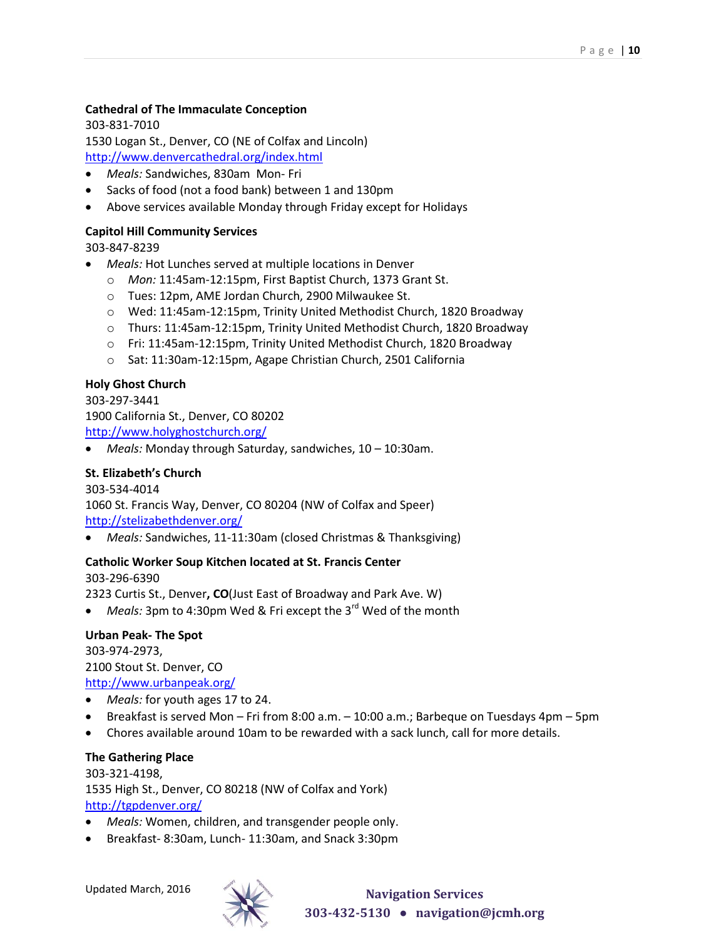### **Cathedral of The Immaculate Conception**

303-831-7010 1530 Logan St., Denver, CO (NE of Colfax and Lincoln) <http://www.denvercathedral.org/index.html>

- *Meals:* Sandwiches, 830am Mon- Fri
- Sacks of food (not a food bank) between 1 and 130pm
- Above services available Monday through Friday except for Holidays

#### **Capitol Hill Community Services**

303-847-8239

- *Meals:* Hot Lunches served at multiple locations in Denver
	- o *Mon:* 11:45am-12:15pm, First Baptist Church, 1373 Grant St.
	- o Tues: 12pm, AME Jordan Church, 2900 Milwaukee St.
	- o Wed: 11:45am-12:15pm, Trinity United Methodist Church, 1820 Broadway
	- o Thurs: 11:45am-12:15pm, Trinity United Methodist Church, 1820 Broadway
	- o Fri: 11:45am-12:15pm, Trinity United Methodist Church, 1820 Broadway
	- o Sat: 11:30am-12:15pm, Agape Christian Church, 2501 California

#### **Holy Ghost Church**

303-297-3441 1900 California St., Denver, CO 80202 <http://www.holyghostchurch.org/>

*Meals:* Monday through Saturday, sandwiches, 10 – 10:30am.

#### **St. Elizabeth's Church**

303-534-4014

1060 St. Francis Way, Denver, CO 80204 (NW of Colfax and Speer) <http://stelizabethdenver.org/>

*Meals:* Sandwiches, 11-11:30am (closed Christmas & Thanksgiving)

#### **Catholic Worker Soup Kitchen located at St. Francis Center**

303-296-6390

2323 Curtis St., Denver**, CO**(Just East of Broadway and Park Ave. W)

*Meals:* 3pm to 4:30pm Wed & Fri except the 3<sup>rd</sup> Wed of the month

#### **Urban Peak- The Spot**

303-974-2973, 2100 Stout St. Denver, CO <http://www.urbanpeak.org/>

- *Meals:* for youth ages 17 to 24.
- Breakfast is served Mon Fri from 8:00 a.m. 10:00 a.m.; Barbeque on Tuesdays 4pm 5pm
- Chores available around 10am to be rewarded with a sack lunch, call for more details.

#### **The Gathering Place**

303-321-4198, 1535 High St., Denver, CO 80218 (NW of Colfax and York) <http://tgpdenver.org/>

- *Meals:* Women, children, and transgender people only.
- Breakfast*-* 8:30am, Lunch- 11:30am, and Snack 3:30pm